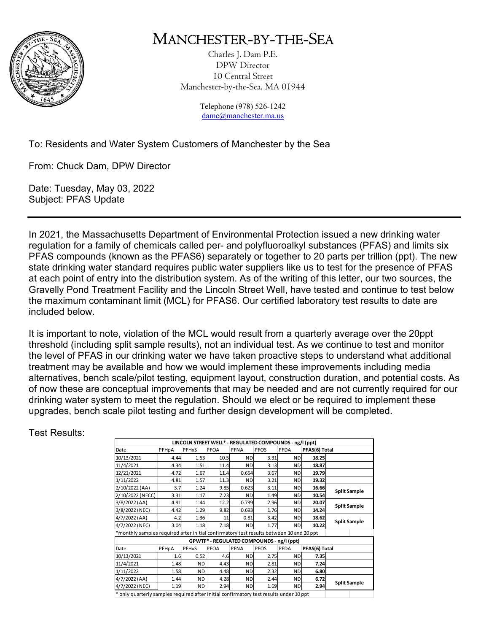

## MANCHESTER-BY-THE-SEA

Charles J. Dam P.E. DPW Director 10 Central Street Manchester-by-the-Sea, MA 01944

> Telephone (978) 526-1242 damc@manchester.ma.us

## To: Residents and Water System Customers of Manchester by the Sea

From: Chuck Dam, DPW Director

Date: Tuesday, May 03, 2022 Subject: PFAS Update

In 2021, the Massachusetts Department of Environmental Protection issued a new drinking water regulation for a family of chemicals called per- and polyfluoroalkyl substances (PFAS) and limits six PFAS compounds (known as the PFAS6) separately or together to 20 parts per trillion (ppt). The new state drinking water standard requires public water suppliers like us to test for the presence of PFAS at each point of entry into the distribution system. As of the writing of this letter, our two sources, the Gravelly Pond Treatment Facility and the Lincoln Street Well, have tested and continue to test below the maximum contaminant limit (MCL) for PFAS6. Our certified laboratory test results to date are included below.

It is important to note, violation of the MCL would result from a quarterly average over the 20ppt threshold (including split sample results), not an individual test. As we continue to test and monitor the level of PFAS in our drinking water we have taken proactive steps to understand what additional treatment may be available and how we would implement these improvements including media alternatives, bench scale/pilot testing, equipment layout, construction duration, and potential costs. As of now these are conceptual improvements that may be needed and are not currently required for our drinking water system to meet the regulation. Should we elect or be required to implement these upgrades, bench scale pilot testing and further design development will be completed.

Test Results:

| LINCOLN STREET WELL* - REGULATED COMPOUNDS - ng/l (ppt)                                 |       |           |      |             |             |           |               |                     |  |
|-----------------------------------------------------------------------------------------|-------|-----------|------|-------------|-------------|-----------|---------------|---------------------|--|
| Date                                                                                    | PFHpA | PFHxS     | PFOA | <b>PFNA</b> | <b>PFOS</b> | PFDA      | PFAS(6) Total |                     |  |
| 10/13/2021                                                                              | 4.44  | 1.53      | 10.5 | <b>ND</b>   | 3.31        | <b>ND</b> | 18.25         |                     |  |
| 11/4/2021                                                                               | 4.34  | 1.51      | 11.4 | <b>ND</b>   | 3.13        | ND        | 18.87         |                     |  |
| 12/21/2021                                                                              | 4.72  | 1.67      | 11.4 | 0.654       | 3.67        | ND        | 19.79         |                     |  |
| 1/11/2022                                                                               | 4.81  | 1.57      | 11.3 | <b>ND</b>   | 3.21        | ND        | 19.32         |                     |  |
| 2/10/2022 (AA)                                                                          | 3.7   | 1.24      | 9.85 | 0.623       | 3.11        | ND        | 16.66         | <b>Split Sample</b> |  |
| 2/10/2022 (NECC)                                                                        | 3.31  | 1.17      | 7.23 | <b>ND</b>   | 1.49        | ND        | 10.54         |                     |  |
| 3/8/2022 (AA)                                                                           | 4.91  | 1.44      | 12.2 | 0.739       | 2.96        | ND        | 20.07         | <b>Split Sample</b> |  |
| 3/8/2022 (NEC)                                                                          | 4.42  | 1.29      | 9.82 | 0.693       | 1.76        | <b>ND</b> | 14.24         |                     |  |
| 4/7/2022 (AA)                                                                           | 4.2   | 1.36      | 11   | 0.81        | 3.42        | ND        | 18.62         | <b>Split Sample</b> |  |
| 4/7/2022 (NEC)                                                                          | 3.04  | 1.18      | 7.18 | <b>ND</b>   | 1.77        | ND        | 10.22         |                     |  |
| *monthly samples required after initial confirmatory test results between 10 and 20 ppt |       |           |      |             |             |           |               |                     |  |
| GPWTF* - REGULATED COMPOUNDS - ng/l (ppt)                                               |       |           |      |             |             |           |               |                     |  |
| Date                                                                                    | PFHpA | PFHxS     | PFOA | <b>PFNA</b> | <b>PFOS</b> | PFDA      | PFAS(6) Total |                     |  |
| 10/13/2021                                                                              | 1.6   | 0.52      | 4.6  | <b>ND</b>   | 2.75        | <b>ND</b> | 7.35          |                     |  |
| 11/4/2021                                                                               | 1.48  | <b>ND</b> | 4.43 | <b>ND</b>   | 2.81        | <b>ND</b> | 7.24          |                     |  |
| 1/11/2022                                                                               | 1.58  | <b>ND</b> | 4.48 | <b>ND</b>   | 2.32        | ND        | 6.80          |                     |  |
| 4/7/2022 (AA)                                                                           | 1.44  | <b>ND</b> | 4.28 | <b>ND</b>   | 2.44        | <b>ND</b> | 6.72          | <b>Split Sample</b> |  |
| 4/7/2022 (NEC)                                                                          | 1.19  | <b>ND</b> | 2.94 | <b>ND</b>   | 1.69        | ND        | 2.94          |                     |  |
| * only quarterly samples required after initial confirmatory test results under 10 ppt  |       |           |      |             |             |           |               |                     |  |